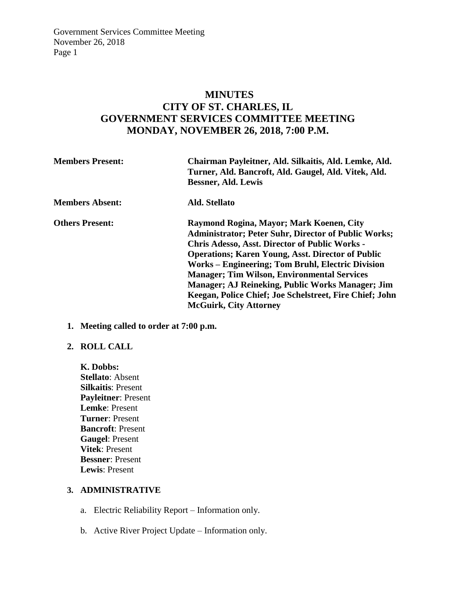# **MINUTES CITY OF ST. CHARLES, IL GOVERNMENT SERVICES COMMITTEE MEETING MONDAY, NOVEMBER 26, 2018, 7:00 P.M.**

| <b>Members Present:</b> | Chairman Payleitner, Ald. Silkaitis, Ald. Lemke, Ald.<br>Turner, Ald. Bancroft, Ald. Gaugel, Ald. Vitek, Ald.<br><b>Bessner, Ald. Lewis</b>                                                                                                                                                                                                                                                                                                                                              |
|-------------------------|------------------------------------------------------------------------------------------------------------------------------------------------------------------------------------------------------------------------------------------------------------------------------------------------------------------------------------------------------------------------------------------------------------------------------------------------------------------------------------------|
| <b>Members Absent:</b>  | Ald. Stellato                                                                                                                                                                                                                                                                                                                                                                                                                                                                            |
| <b>Others Present:</b>  | Raymond Rogina, Mayor; Mark Koenen, City<br><b>Administrator; Peter Suhr, Director of Public Works;</b><br>Chris Adesso, Asst. Director of Public Works -<br><b>Operations; Karen Young, Asst. Director of Public</b><br>Works – Engineering; Tom Bruhl, Electric Division<br><b>Manager; Tim Wilson, Environmental Services</b><br><b>Manager</b> ; AJ Reineking, Public Works Manager; Jim<br>Keegan, Police Chief; Joe Schelstreet, Fire Chief; John<br><b>McGuirk, City Attorney</b> |

**1. Meeting called to order at 7:00 p.m.** 

#### **2. ROLL CALL**

**K. Dobbs: Stellato**: Absent **Silkaitis**: Present **Payleitner**: Present **Lemke**: Present **Turner**: Present **Bancroft**: Present **Gaugel**: Present **Vitek**: Present **Bessner**: Present **Lewis**: Present

## **3. ADMINISTRATIVE**

- a. Electric Reliability Report Information only.
- b. Active River Project Update Information only.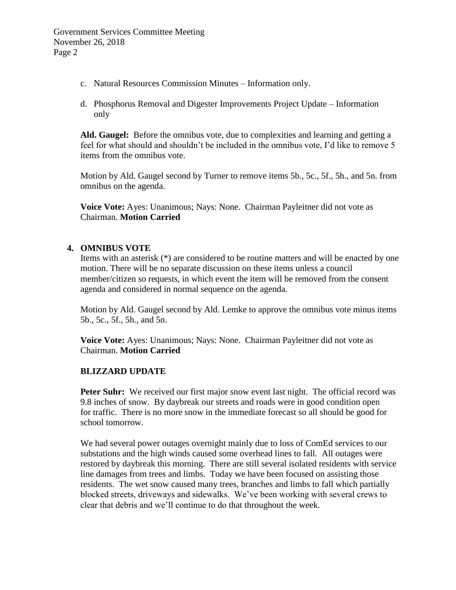- c. Natural Resources Commission Minutes Information only.
- d. Phosphorus Removal and Digester Improvements Project Update Information only

**Ald. Gaugel:** Before the omnibus vote, due to complexities and learning and getting a feel for what should and shouldn't be included in the omnibus vote, I'd like to remove 5 items from the omnibus vote.

Motion by Ald. Gaugel second by Turner to remove items 5b., 5c., 5f., 5h., and 5n. from omnibus on the agenda.

**Voice Vote:** Ayes: Unanimous; Nays: None. Chairman Payleitner did not vote as Chairman. **Motion Carried**

#### **4. OMNIBUS VOTE**

Items with an asterisk (\*) are considered to be routine matters and will be enacted by one motion. There will be no separate discussion on these items unless a council member/citizen so requests, in which event the item will be removed from the consent agenda and considered in normal sequence on the agenda.

Motion by Ald. Gaugel second by Ald. Lemke to approve the omnibus vote minus items 5b., 5c., 5f., 5h., and 5n.

**Voice Vote:** Ayes: Unanimous; Nays: None. Chairman Payleitner did not vote as Chairman. **Motion Carried**

#### **BLIZZARD UPDATE**

**Peter Suhr:** We received our first major snow event last night. The official record was 9.8 inches of snow. By daybreak our streets and roads were in good condition open for traffic. There is no more snow in the immediate forecast so all should be good for school tomorrow.

We had several power outages overnight mainly due to loss of ComEd services to our substations and the high winds caused some overhead lines to fall. All outages were restored by daybreak this morning. There are still several isolated residents with service line damages from trees and limbs. Today we have been focused on assisting those residents. The wet snow caused many trees, branches and limbs to fall which partially blocked streets, driveways and sidewalks. We've been working with several crews to clear that debris and we'll continue to do that throughout the week.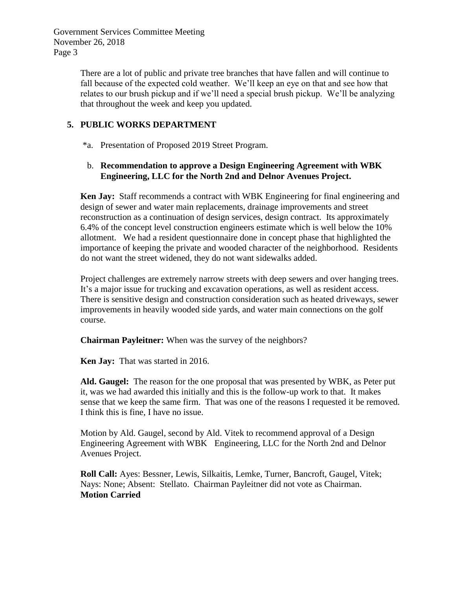> There are a lot of public and private tree branches that have fallen and will continue to fall because of the expected cold weather. We'll keep an eye on that and see how that relates to our brush pickup and if we'll need a special brush pickup. We'll be analyzing that throughout the week and keep you updated.

## **5. PUBLIC WORKS DEPARTMENT**

\*a. Presentation of Proposed 2019 Street Program.

### b. **Recommendation to approve a Design Engineering Agreement with WBK Engineering, LLC for the North 2nd and Delnor Avenues Project.**

**Ken Jay:** Staff recommends a contract with WBK Engineering for final engineering and design of sewer and water main replacements, drainage improvements and street reconstruction as a continuation of design services, design contract. Its approximately 6.4% of the concept level construction engineers estimate which is well below the 10% allotment. We had a resident questionnaire done in concept phase that highlighted the importance of keeping the private and wooded character of the neighborhood. Residents do not want the street widened, they do not want sidewalks added.

Project challenges are extremely narrow streets with deep sewers and over hanging trees. It's a major issue for trucking and excavation operations, as well as resident access. There is sensitive design and construction consideration such as heated driveways, sewer improvements in heavily wooded side yards, and water main connections on the golf course.

**Chairman Payleitner:** When was the survey of the neighbors?

**Ken Jay:** That was started in 2016.

**Ald. Gaugel:** The reason for the one proposal that was presented by WBK, as Peter put it, was we had awarded this initially and this is the follow-up work to that. It makes sense that we keep the same firm. That was one of the reasons I requested it be removed. I think this is fine, I have no issue.

Motion by Ald. Gaugel, second by Ald. Vitek to recommend approval of a Design Engineering Agreement with WBK Engineering, LLC for the North 2nd and Delnor Avenues Project.

**Roll Call:** Ayes: Bessner, Lewis, Silkaitis, Lemke, Turner, Bancroft, Gaugel, Vitek; Nays: None; Absent: Stellato. Chairman Payleitner did not vote as Chairman. **Motion Carried**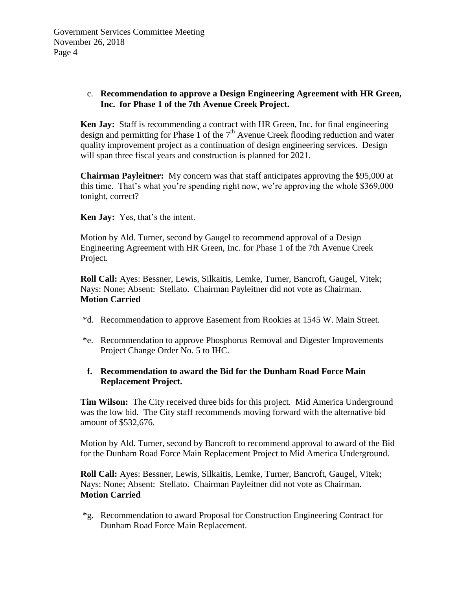### c. **Recommendation to approve a Design Engineering Agreement with HR Green, Inc. for Phase 1 of the 7th Avenue Creek Project.**

**Ken Jay:** Staff is recommending a contract with HR Green, Inc. for final engineering design and permitting for Phase  $\overline{1}$  of the  $7<sup>th</sup>$  Avenue Creek flooding reduction and water quality improvement project as a continuation of design engineering services. Design will span three fiscal years and construction is planned for 2021.

**Chairman Payleitner:** My concern was that staff anticipates approving the \$95,000 at this time. That's what you're spending right now, we're approving the whole \$369,000 tonight, correct?

**Ken Jay:** Yes, that's the intent.

Motion by Ald. Turner, second by Gaugel to recommend approval of a Design Engineering Agreement with HR Green, Inc. for Phase 1 of the 7th Avenue Creek Project.

**Roll Call:** Ayes: Bessner, Lewis, Silkaitis, Lemke, Turner, Bancroft, Gaugel, Vitek; Nays: None; Absent: Stellato. Chairman Payleitner did not vote as Chairman. **Motion Carried**

- \*d. Recommendation to approve Easement from Rookies at 1545 W. Main Street.
- \*e. Recommendation to approve Phosphorus Removal and Digester Improvements Project Change Order No. 5 to IHC.

### **f. Recommendation to award the Bid for the Dunham Road Force Main Replacement Project.**

**Tim Wilson:** The City received three bids for this project. Mid America Underground was the low bid. The City staff recommends moving forward with the alternative bid amount of \$532,676.

Motion by Ald. Turner, second by Bancroft to recommend approval to award of the Bid for the Dunham Road Force Main Replacement Project to Mid America Underground.

**Roll Call:** Ayes: Bessner, Lewis, Silkaitis, Lemke, Turner, Bancroft, Gaugel, Vitek; Nays: None; Absent: Stellato. Chairman Payleitner did not vote as Chairman. **Motion Carried**

\*g. Recommendation to award Proposal for Construction Engineering Contract for Dunham Road Force Main Replacement.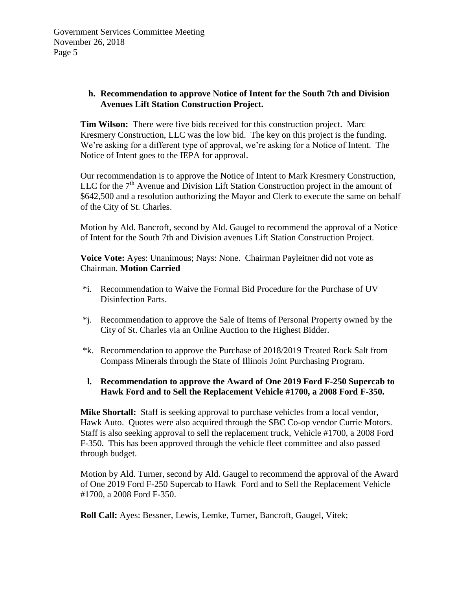### **h. Recommendation to approve Notice of Intent for the South 7th and Division Avenues Lift Station Construction Project.**

**Tim Wilson:** There were five bids received for this construction project. Marc Kresmery Construction, LLC was the low bid. The key on this project is the funding. We're asking for a different type of approval, we're asking for a Notice of Intent. The Notice of Intent goes to the IEPA for approval.

Our recommendation is to approve the Notice of Intent to Mark Kresmery Construction, LLC for the  $7<sup>th</sup>$  Avenue and Division Lift Station Construction project in the amount of \$642,500 and a resolution authorizing the Mayor and Clerk to execute the same on behalf of the City of St. Charles.

Motion by Ald. Bancroft, second by Ald. Gaugel to recommend the approval of a Notice of Intent for the South 7th and Division avenues Lift Station Construction Project.

**Voice Vote:** Ayes: Unanimous; Nays: None. Chairman Payleitner did not vote as Chairman. **Motion Carried**

- \*i. Recommendation to Waive the Formal Bid Procedure for the Purchase of UV Disinfection Parts.
- \*j. Recommendation to approve the Sale of Items of Personal Property owned by the City of St. Charles via an Online Auction to the Highest Bidder.
- \*k. Recommendation to approve the Purchase of 2018/2019 Treated Rock Salt from Compass Minerals through the State of Illinois Joint Purchasing Program.
- **l. Recommendation to approve the Award of One 2019 Ford F-250 Supercab to Hawk Ford and to Sell the Replacement Vehicle #1700, a 2008 Ford F-350.**

**Mike Shortall:** Staff is seeking approval to purchase vehicles from a local vendor, Hawk Auto. Quotes were also acquired through the SBC Co-op vendor Currie Motors. Staff is also seeking approval to sell the replacement truck, Vehicle #1700, a 2008 Ford F-350. This has been approved through the vehicle fleet committee and also passed through budget.

Motion by Ald. Turner, second by Ald. Gaugel to recommend the approval of the Award of One 2019 Ford F-250 Supercab to Hawk Ford and to Sell the Replacement Vehicle #1700, a 2008 Ford F-350.

**Roll Call:** Ayes: Bessner, Lewis, Lemke, Turner, Bancroft, Gaugel, Vitek;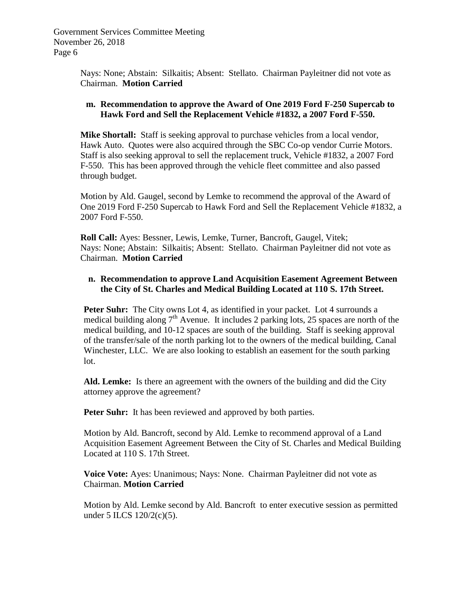> Nays: None; Abstain: Silkaitis; Absent: Stellato. Chairman Payleitner did not vote as Chairman. **Motion Carried**

#### **m. Recommendation to approve the Award of One 2019 Ford F-250 Supercab to Hawk Ford and Sell the Replacement Vehicle #1832, a 2007 Ford F-550.**

**Mike Shortall:** Staff is seeking approval to purchase vehicles from a local vendor, Hawk Auto. Quotes were also acquired through the SBC Co-op vendor Currie Motors. Staff is also seeking approval to sell the replacement truck, Vehicle #1832, a 2007 Ford F-550. This has been approved through the vehicle fleet committee and also passed through budget.

Motion by Ald. Gaugel, second by Lemke to recommend the approval of the Award of One 2019 Ford F-250 Supercab to Hawk Ford and Sell the Replacement Vehicle #1832, a 2007 Ford F-550.

**Roll Call:** Ayes: Bessner, Lewis, Lemke, Turner, Bancroft, Gaugel, Vitek; Nays: None; Abstain: Silkaitis; Absent: Stellato. Chairman Payleitner did not vote as Chairman. **Motion Carried**

### **n. Recommendation to approve Land Acquisition Easement Agreement Between the City of St. Charles and Medical Building Located at 110 S. 17th Street.**

**Peter Suhr:** The City owns Lot 4, as identified in your packet. Lot 4 surrounds a medical building along  $7<sup>th</sup>$  Avenue. It includes 2 parking lots, 25 spaces are north of the medical building, and 10-12 spaces are south of the building. Staff is seeking approval of the transfer/sale of the north parking lot to the owners of the medical building, Canal Winchester, LLC. We are also looking to establish an easement for the south parking lot.

**Ald. Lemke:** Is there an agreement with the owners of the building and did the City attorney approve the agreement?

**Peter Suhr:** It has been reviewed and approved by both parties.

Motion by Ald. Bancroft, second by Ald. Lemke to recommend approval of a Land Acquisition Easement Agreement Between the City of St. Charles and Medical Building Located at 110 S. 17th Street.

**Voice Vote:** Ayes: Unanimous; Nays: None. Chairman Payleitner did not vote as Chairman. **Motion Carried**

Motion by Ald. Lemke second by Ald. Bancroft to enter executive session as permitted under 5 ILCS 120/2(c)(5).